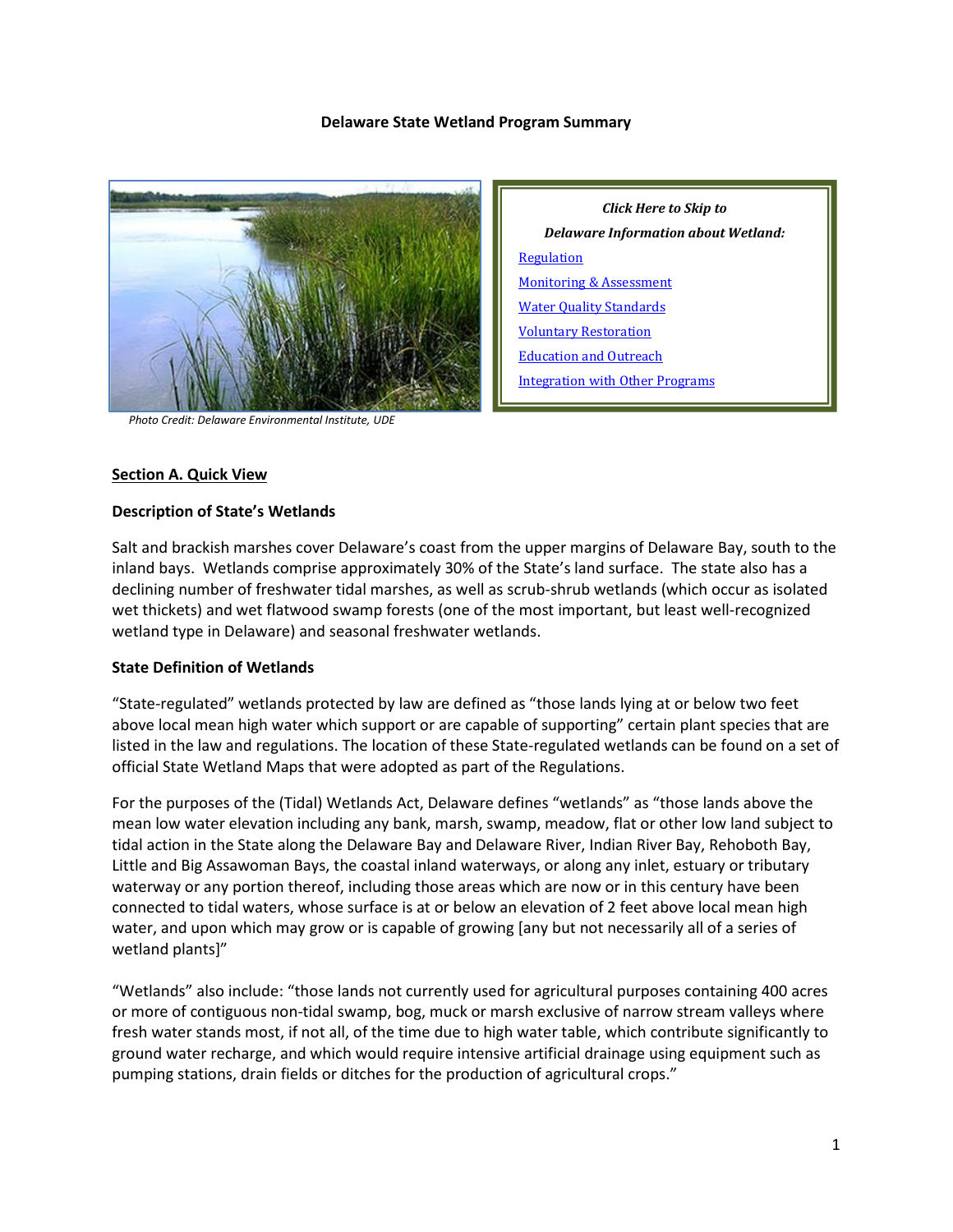#### **Delaware State Wetland Program Summary**



 *Photo Credit: Delaware Environmental Institute, UDE*

# *Click Here to Skip to Delaware Information about Wetland:* **[Regulation](#page-2-0)** [Monitoring & Assessment](#page-6-0) [Water Quality Standards](#page-8-0) [Voluntary Restoration](#page-9-0) [Education and Outreach](#page-11-0) [Integration with Other Programs](#page-12-0)

#### **Section A. Quick View**

#### **Description of State's Wetlands**

Salt and brackish marshes cover Delaware's coast from the upper margins of Delaware Bay, south to the inland bays. Wetlands comprise approximately 30% of the State's land surface. The state also has a declining number of freshwater tidal marshes, as well as scrub-shrub wetlands (which occur as isolated wet thickets) and wet flatwood swamp forests (one of the most important, but least well-recognized wetland type in Delaware) and seasonal freshwater wetlands.

## **State Definition of Wetlands**

"State-regulated" wetlands protected by law are defined as "those lands lying at or below two feet above local mean high water which support or are capable of supporting" certain plant species that are listed in the law and regulations. The location of these State-regulated wetlands can be found on a set of official State Wetland Maps that were adopted as part of the Regulations.

For the purposes of the (Tidal) Wetlands Act, Delaware defines "wetlands" as "those lands above the mean low water elevation including any bank, marsh, swamp, meadow, flat or other low land subject to tidal action in the State along the Delaware Bay and Delaware River, Indian River Bay, Rehoboth Bay, Little and Big Assawoman Bays, the coastal inland waterways, or along any inlet, estuary or tributary waterway or any portion thereof, including those areas which are now or in this century have been connected to tidal waters, whose surface is at or below an elevation of 2 feet above local mean high water, and upon which may grow or is capable of growing [any but not necessarily all of a series of wetland plants]"

"Wetlands" also include: "those lands not currently used for agricultural purposes containing 400 acres or more of contiguous non-tidal swamp, bog, muck or marsh exclusive of narrow stream valleys where fresh water stands most, if not all, of the time due to high water table, which contribute significantly to ground water recharge, and which would require intensive artificial drainage using equipment such as pumping stations, drain fields or ditches for the production of agricultural crops."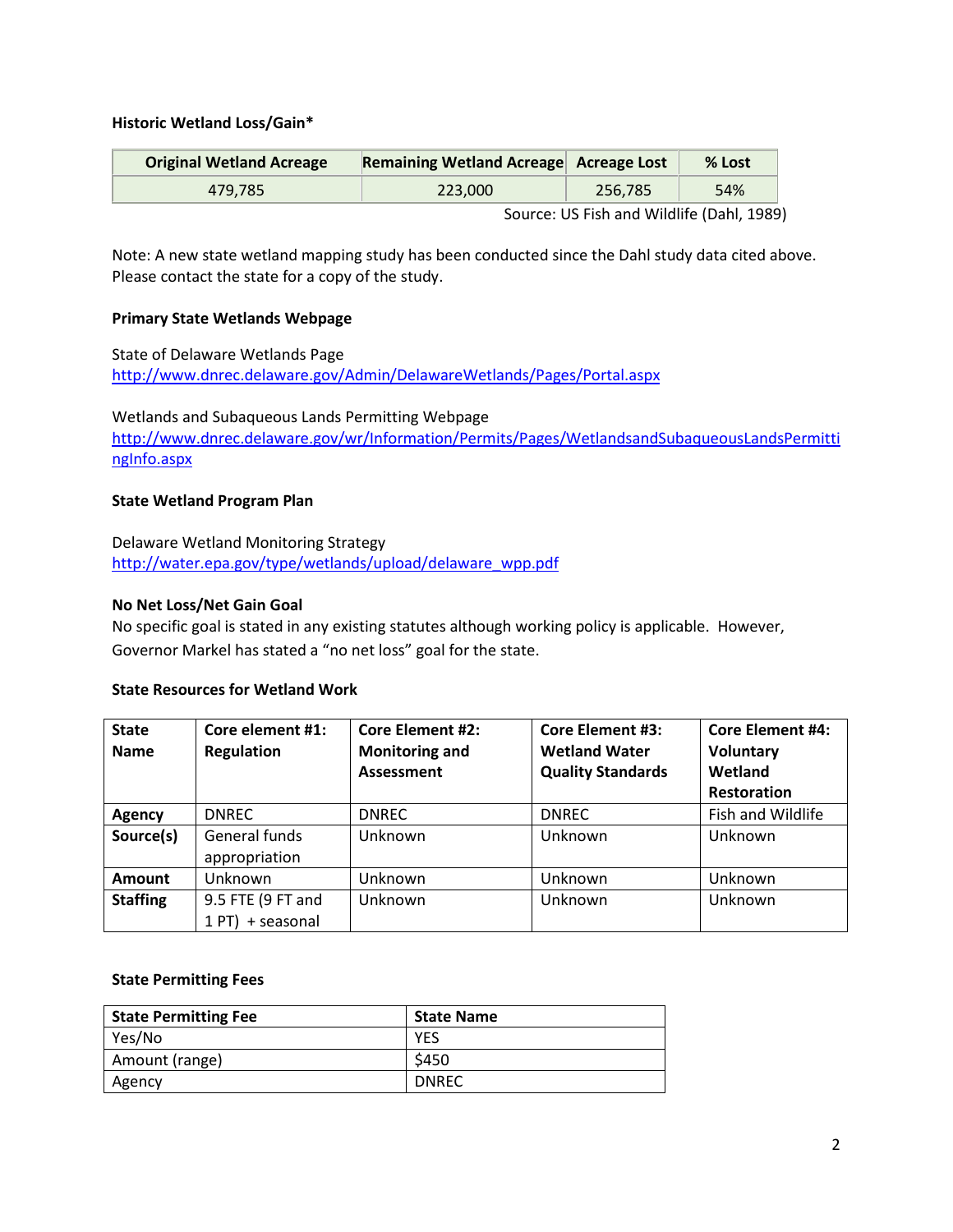# **Historic Wetland Loss/Gain\***

| <b>Original Wetland Acreage</b> | Remaining Wetland Acreage Acreage Lost |                                           | % Lost |
|---------------------------------|----------------------------------------|-------------------------------------------|--------|
| 479.785                         | 223,000                                | 256.785                                   | 54%    |
|                                 |                                        | Source: US Fish and Wildlife (Dahl, 1989) |        |

Note: A new state wetland mapping study has been conducted since the Dahl study data cited above. Please contact the state for a copy of the study.

#### **Primary State Wetlands Webpage**

State of Delaware Wetlands Page <http://www.dnrec.delaware.gov/Admin/DelawareWetlands/Pages/Portal.aspx>

Wetlands and Subaqueous Lands Permitting Webpage [http://www.dnrec.delaware.gov/wr/Information/Permits/Pages/WetlandsandSubaqueousLandsPermitti](http://www.dnrec.delaware.gov/wr/Information/Permits/Pages/WetlandsandSubaqueousLandsPermittingInfo.aspx) [ngInfo.aspx](http://www.dnrec.delaware.gov/wr/Information/Permits/Pages/WetlandsandSubaqueousLandsPermittingInfo.aspx)

#### **State Wetland Program Plan**

Delaware Wetland Monitoring Strategy [http://water.epa.gov/type/wetlands/upload/delaware\\_wpp.pdf](http://water.epa.gov/type/wetlands/upload/delaware_wpp.pdf)

#### **No Net Loss/Net Gain Goal**

No specific goal is stated in any existing statutes although working policy is applicable. However, Governor Markel has stated a "no net loss" goal for the state.

#### **State Resources for Wetland Work**

| <b>State</b><br><b>Name</b> | Core element #1:<br><b>Regulation</b>  | <b>Core Element #2:</b><br><b>Monitoring and</b><br>Assessment | <b>Core Element #3:</b><br><b>Wetland Water</b><br><b>Quality Standards</b> | <b>Core Element #4:</b><br>Voluntary<br>Wetland<br><b>Restoration</b> |
|-----------------------------|----------------------------------------|----------------------------------------------------------------|-----------------------------------------------------------------------------|-----------------------------------------------------------------------|
| Agency                      | <b>DNREC</b>                           | <b>DNREC</b>                                                   | <b>DNREC</b>                                                                | Fish and Wildlife                                                     |
| Source(s)                   | General funds<br>appropriation         | Unknown                                                        | Unknown                                                                     | Unknown                                                               |
| <b>Amount</b>               | Unknown                                | Unknown                                                        | Unknown                                                                     | Unknown                                                               |
| <b>Staffing</b>             | 9.5 FTE (9 FT and<br>$1 PT$ + seasonal | Unknown                                                        | Unknown                                                                     | Unknown                                                               |

#### **State Permitting Fees**

| <b>State Permitting Fee</b> | <b>State Name</b> |
|-----------------------------|-------------------|
| Yes/No                      | <b>YES</b>        |
| Amount (range)              | \$450             |
| Agency                      | <b>DNREC</b>      |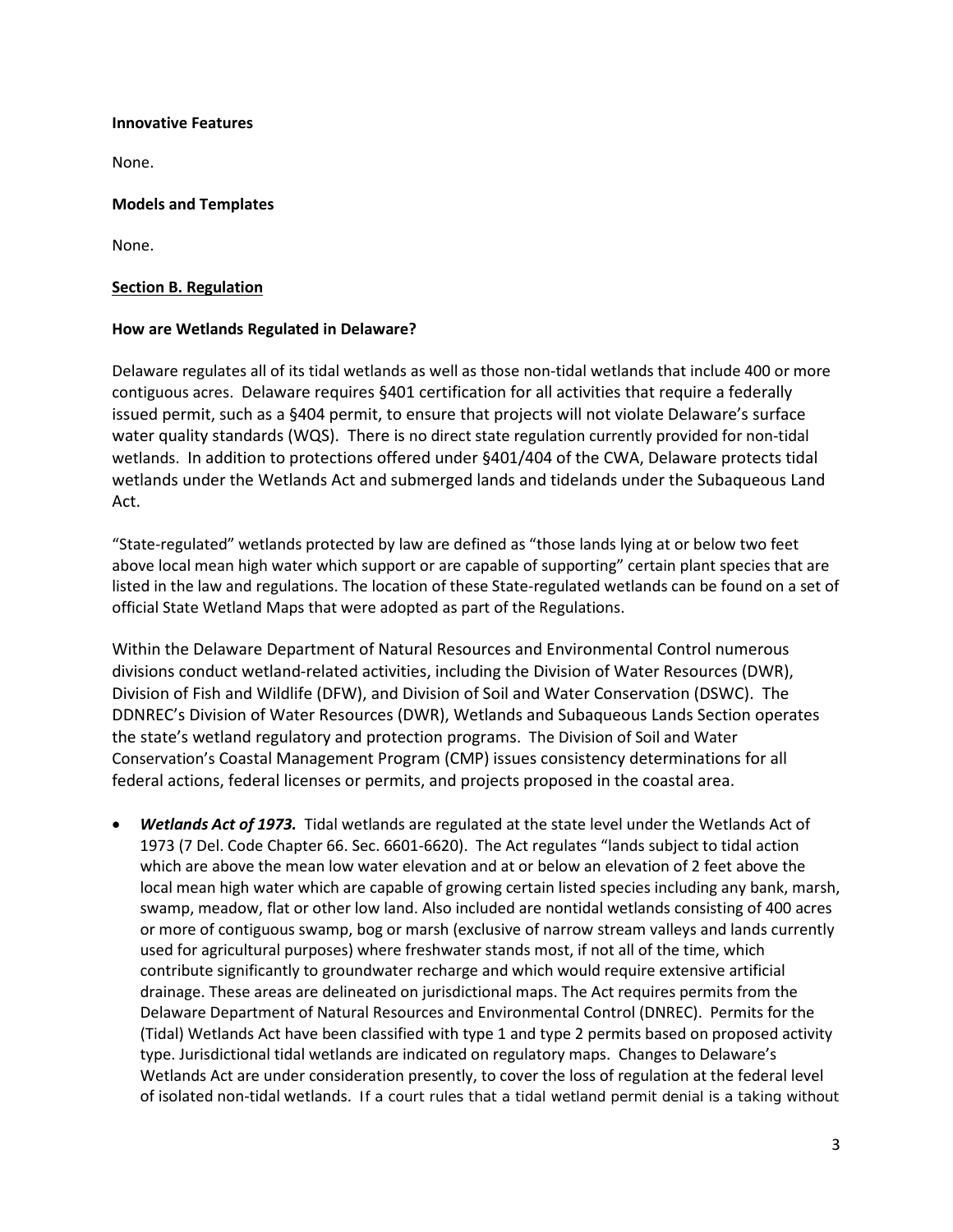#### **Innovative Features**

None.

## **Models and Templates**

None.

## <span id="page-2-0"></span>**Section B. Regulation**

# **How are Wetlands Regulated in Delaware?**

Delaware regulates all of its tidal wetlands as well as those non-tidal wetlands that include 400 or more contiguous acres. Delaware requires §401 certification for all activities that require a federally issued permit, such as a §404 permit, to ensure that projects will not violate Delaware's surface water quality standards (WQS). There is no direct state regulation currently provided for non-tidal wetlands. In addition to protections offered under §401/404 of the CWA, Delaware protects tidal wetlands under the Wetlands Act and submerged lands and tidelands under the Subaqueous Land Act.

"State-regulated" wetlands protected by law are defined as "those lands lying at or below two feet above local mean high water which support or are capable of supporting" certain plant species that are listed in the law and regulations. The location of these State-regulated wetlands can be found on a set of official State Wetland Maps that were adopted as part of the Regulations.

Within the Delaware Department of Natural Resources and Environmental Control numerous divisions conduct wetland-related activities, including the Division of Water Resources (DWR), Division of Fish and Wildlife (DFW), and Division of Soil and Water Conservation (DSWC). The DDNREC's Division of Water Resources (DWR), Wetlands and Subaqueous Lands Section operates the state's wetland regulatory and protection programs. The Division of Soil and Water Conservation's Coastal Management Program (CMP) issues consistency determinations for all federal actions, federal licenses or permits, and projects proposed in the coastal area.

• *Wetlands Act of 1973.* Tidal wetlands are regulated at the state level under the Wetlands Act of 1973 (7 Del. Code Chapter 66. Sec. 6601-6620). The Act regulates "lands subject to tidal action which are above the mean low water elevation and at or below an elevation of 2 feet above the local mean high water which are capable of growing certain listed species including any bank, marsh, swamp, meadow, flat or other low land. Also included are nontidal wetlands consisting of 400 acres or more of contiguous swamp, bog or marsh (exclusive of narrow stream valleys and lands currently used for agricultural purposes) where freshwater stands most, if not all of the time, which contribute significantly to groundwater recharge and which would require extensive artificial drainage. These areas are delineated on jurisdictional maps. The Act requires permits from the Delaware Department of Natural Resources and Environmental Control (DNREC). Permits for the (Tidal) Wetlands Act have been classified with type 1 and type 2 permits based on proposed activity type. Jurisdictional tidal wetlands are indicated on regulatory maps. Changes to Delaware's Wetlands Act are under consideration presently, to cover the loss of regulation at the federal level of isolated non-tidal wetlands. If a court rules that a tidal wetland permit denial is a taking without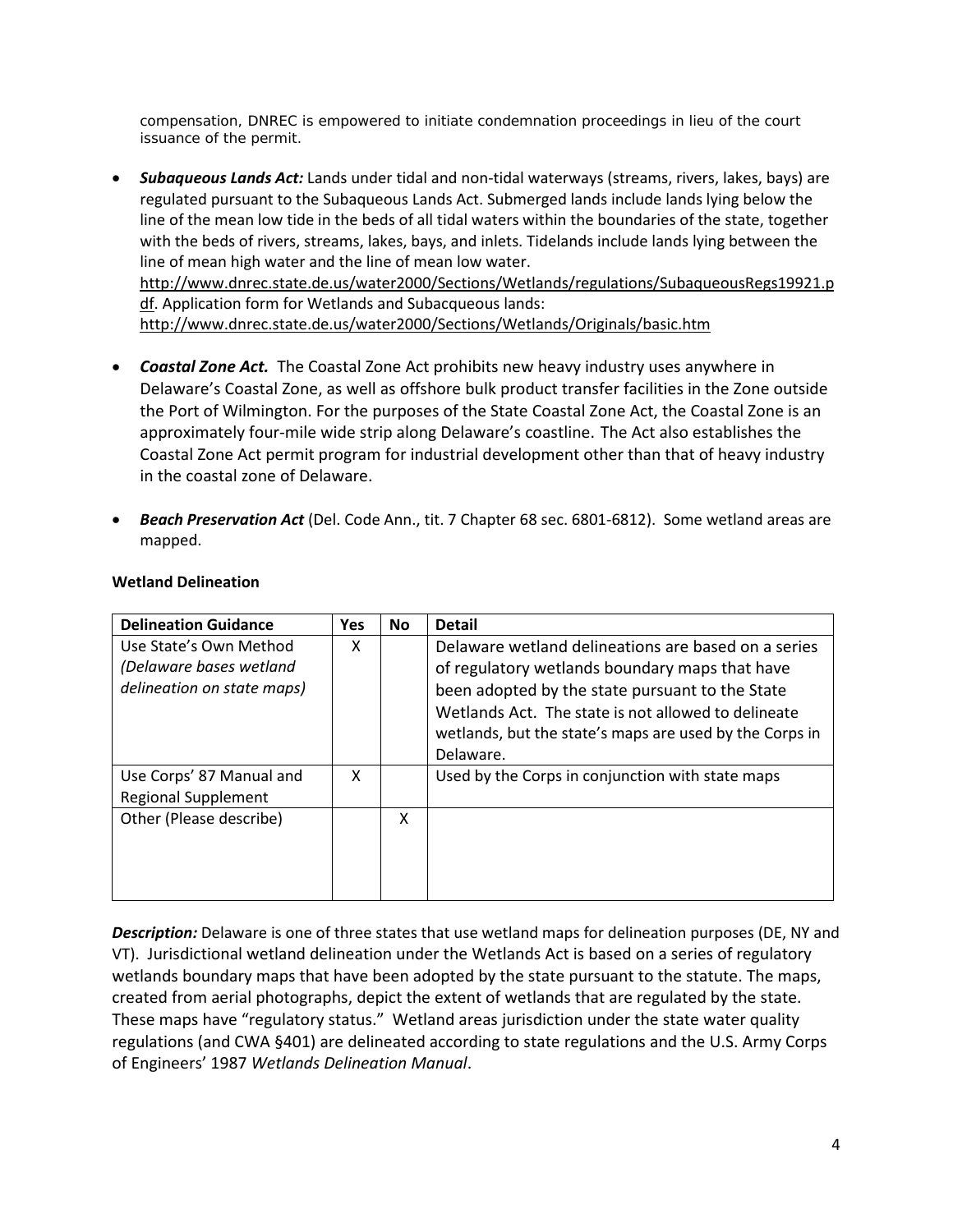compensation, DNREC is empowered to initiate condemnation proceedings in lieu of the court issuance of the permit.

• *Subaqueous Lands Act:* Lands under tidal and non-tidal waterways (streams, rivers, lakes, bays) are regulated pursuant to the Subaqueous Lands Act. Submerged lands include lands lying below the line of the mean low tide in the beds of all tidal waters within the boundaries of the state, together with the beds of rivers, streams, lakes, bays, and inlets. Tidelands include lands lying between the line of mean high water and the line of mean low water. [http://www.dnrec.state.de.us/water2000/Sections/Wetlands/regulations/SubaqueousRegs19921.p](http://www.dnrec.state.de.us/water2000/Sections/Wetlands/regulations/SubaqueousRegs19921.pdf) [df.](http://www.dnrec.state.de.us/water2000/Sections/Wetlands/regulations/SubaqueousRegs19921.pdf) Application form for Wetlands and Subacqueous lands:

<http://www.dnrec.state.de.us/water2000/Sections/Wetlands/Originals/basic.htm>

- *Coastal Zone Act.* The Coastal Zone Act prohibits new heavy industry uses anywhere in Delaware's Coastal Zone, as well as offshore bulk product transfer facilities in the Zone outside the Port of Wilmington. For the purposes of the State Coastal Zone Act, the Coastal Zone is an approximately four-mile wide strip along Delaware's coastline. The Act also establishes the Coastal Zone Act permit program for industrial development other than that of heavy industry in the coastal zone of Delaware.
- *Beach Preservation Act* (Del. Code Ann., tit. 7 Chapter 68 sec. 6801-6812). Some wetland areas are mapped.

| <b>Delineation Guidance</b>                                                     | <b>Yes</b> | <b>No</b> | <b>Detail</b>                                                                                                                                                                                                                                                                           |
|---------------------------------------------------------------------------------|------------|-----------|-----------------------------------------------------------------------------------------------------------------------------------------------------------------------------------------------------------------------------------------------------------------------------------------|
| Use State's Own Method<br>(Delaware bases wetland<br>delineation on state maps) | x          |           | Delaware wetland delineations are based on a series<br>of regulatory wetlands boundary maps that have<br>been adopted by the state pursuant to the State<br>Wetlands Act. The state is not allowed to delineate<br>wetlands, but the state's maps are used by the Corps in<br>Delaware. |
| Use Corps' 87 Manual and<br><b>Regional Supplement</b>                          | x          |           | Used by the Corps in conjunction with state maps                                                                                                                                                                                                                                        |
| Other (Please describe)                                                         |            | X         |                                                                                                                                                                                                                                                                                         |

## **Wetland Delineation**

*Description:* Delaware is one of three states that use wetland maps for delineation purposes (DE, NY and VT). Jurisdictional wetland delineation under the Wetlands Act is based on a series of regulatory wetlands boundary maps that have been adopted by the state pursuant to the statute. The maps, created from aerial photographs, depict the extent of wetlands that are regulated by the state. These maps have "regulatory status." Wetland areas jurisdiction under the state water quality regulations (and CWA §401) are delineated according to state regulations and the U.S. Army Corps of Engineers' 1987 *Wetlands Delineation Manual*.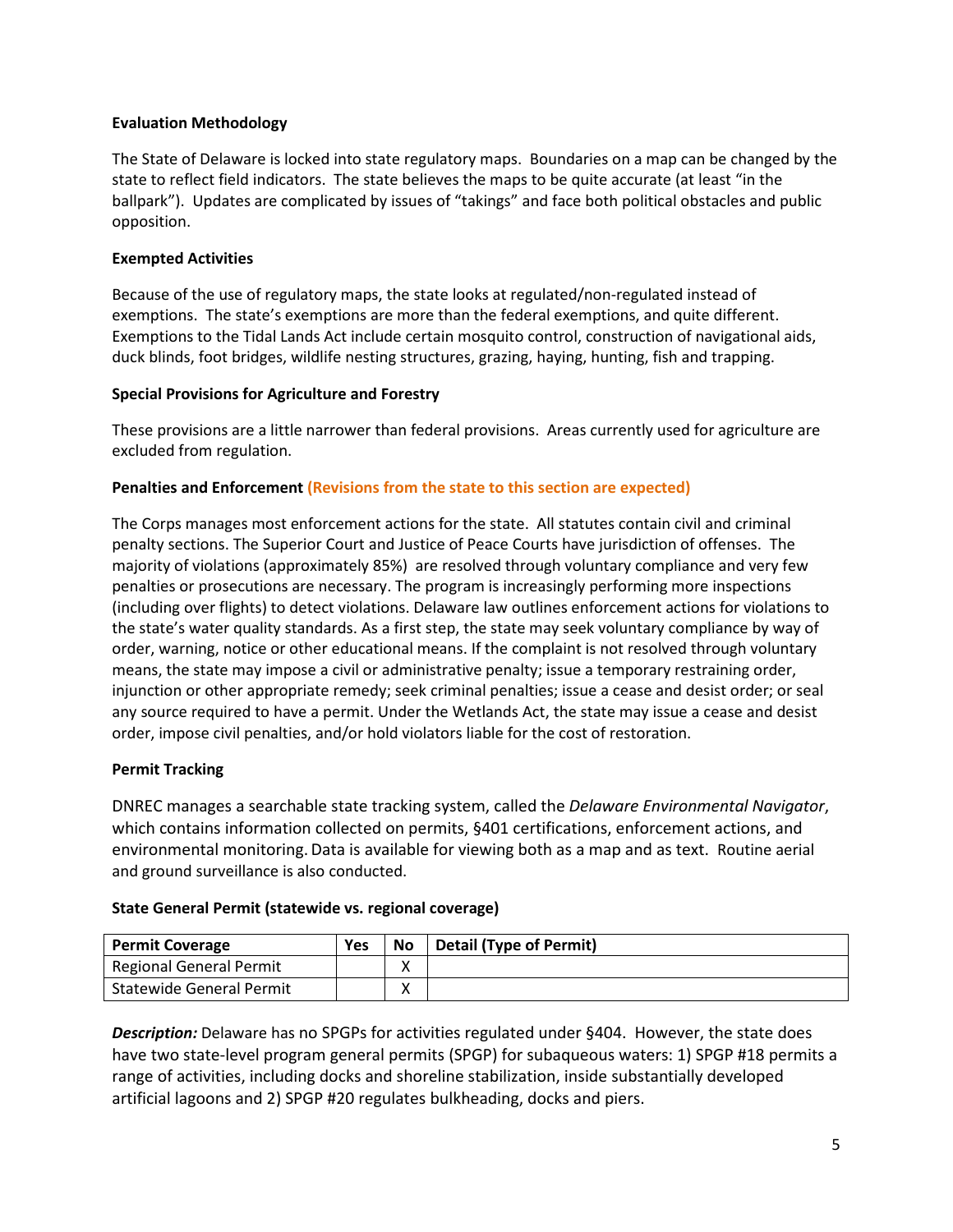# **Evaluation Methodology**

The State of Delaware is locked into state regulatory maps. Boundaries on a map can be changed by the state to reflect field indicators. The state believes the maps to be quite accurate (at least "in the ballpark"). Updates are complicated by issues of "takings" and face both political obstacles and public opposition.

# **Exempted Activities**

Because of the use of regulatory maps, the state looks at regulated/non-regulated instead of exemptions. The state's exemptions are more than the federal exemptions, and quite different. Exemptions to the Tidal Lands Act include certain mosquito control, construction of navigational aids, duck blinds, foot bridges, wildlife nesting structures, grazing, haying, hunting, fish and trapping.

## **Special Provisions for Agriculture and Forestry**

These provisions are a little narrower than federal provisions. Areas currently used for agriculture are excluded from regulation.

# **Penalties and Enforcement (Revisions from the state to this section are expected)**

The Corps manages most enforcement actions for the state. All statutes contain civil and criminal penalty sections. The Superior Court and Justice of Peace Courts have jurisdiction of offenses. The majority of violations (approximately 85%) are resolved through voluntary compliance and very few penalties or prosecutions are necessary. The program is increasingly performing more inspections (including over flights) to detect violations. Delaware law outlines enforcement actions for violations to the state's water quality standards. As a first step, the state may seek voluntary compliance by way of order, warning, notice or other educational means. If the complaint is not resolved through voluntary means, the state may impose a civil or administrative penalty; issue a temporary restraining order, injunction or other appropriate remedy; seek criminal penalties; issue a cease and desist order; or seal any source required to have a permit. Under the Wetlands Act, the state may issue a cease and desist order, impose civil penalties, and/or hold violators liable for the cost of restoration.

# **Permit Tracking**

DNREC manages a searchable state tracking system, called the *Delaware Environmental Navigator*, which contains information collected on permits, §401 certifications, enforcement actions, and environmental monitoring. Data is available for viewing both as a map and as text. Routine aerial and ground surveillance is also conducted.

# **State General Permit (statewide vs. regional coverage)**

| <b>Permit Coverage</b>   | Yes | <b>No</b> | <b>Detail (Type of Permit)</b> |
|--------------------------|-----|-----------|--------------------------------|
| Regional General Permit  |     | Λ         |                                |
| Statewide General Permit |     | v<br>Λ    |                                |

*Description:* Delaware has no SPGPs for activities regulated under §404. However, the state does have two state-level program general permits (SPGP) for subaqueous waters: 1) SPGP #18 permits a range of activities, including docks and shoreline stabilization, inside substantially developed artificial lagoons and 2) SPGP #20 regulates bulkheading, docks and piers.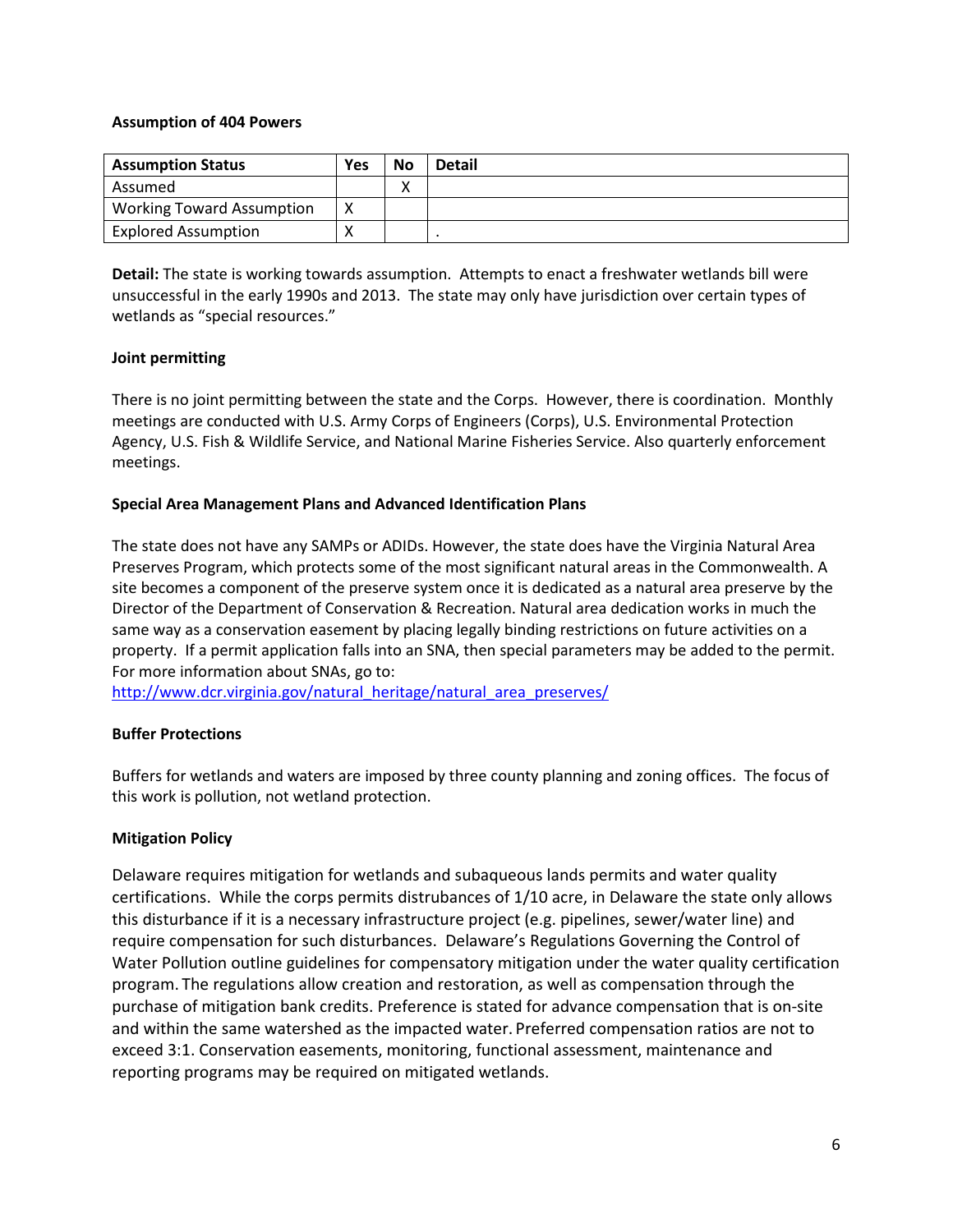#### **Assumption of 404 Powers**

| <b>Assumption Status</b>         | Yes | <b>No</b>         | <b>Detail</b> |
|----------------------------------|-----|-------------------|---------------|
| Assumed                          |     | $\checkmark$<br>Λ |               |
| <b>Working Toward Assumption</b> |     |                   |               |
| <b>Explored Assumption</b>       | ↗   |                   |               |

**Detail:** The state is working towards assumption.Attempts to enact a freshwater wetlands bill were unsuccessful in the early 1990s and 2013. The state may only have jurisdiction over certain types of wetlands as "special resources."

## **Joint permitting**

There is no joint permitting between the state and the Corps. However, there is coordination. Monthly meetings are conducted with U.S. Army Corps of Engineers (Corps), U.S. Environmental Protection Agency, U.S. Fish & Wildlife Service, and National Marine Fisheries Service. Also quarterly enforcement meetings.

# **Special Area Management Plans and Advanced Identification Plans**

The state does not have any SAMPs or ADIDs. However, the state does have the Virginia Natural Area Preserves Program, which protects some of the most significant natural areas in the Commonwealth. A site becomes a component of the preserve system once it is dedicated as a natural area preserve by the Director of the Department of Conservation & Recreation. Natural area dedication works in much the same way as a conservation easement by placing legally binding restrictions on future activities on a property. If a permit application falls into an SNA, then special parameters may be added to the permit. For more information about SNAs, go to:

[http://www.dcr.virginia.gov/natural\\_heritage/natural\\_area\\_preserves/](http://www.dcr.virginia.gov/natural_heritage/natural_area_preserves/)

## **Buffer Protections**

Buffers for wetlands and waters are imposed by three county planning and zoning offices. The focus of this work is pollution, not wetland protection.

# **Mitigation Policy**

Delaware requires mitigation for wetlands and subaqueous lands permits and water quality certifications. While the corps permits distrubances of 1/10 acre, in Delaware the state only allows this disturbance if it is a necessary infrastructure project (e.g. pipelines, sewer/water line) and require compensation for such disturbances. Delaware's Regulations Governing the Control of Water Pollution outline guidelines for compensatory mitigation under the water quality certification program. The regulations allow creation and restoration, as well as compensation through the purchase of mitigation bank credits. Preference is stated for advance compensation that is on-site and within the same watershed as the impacted water. Preferred compensation ratios are not to exceed 3:1. Conservation easements, monitoring, functional assessment, maintenance and reporting programs may be required on mitigated wetlands.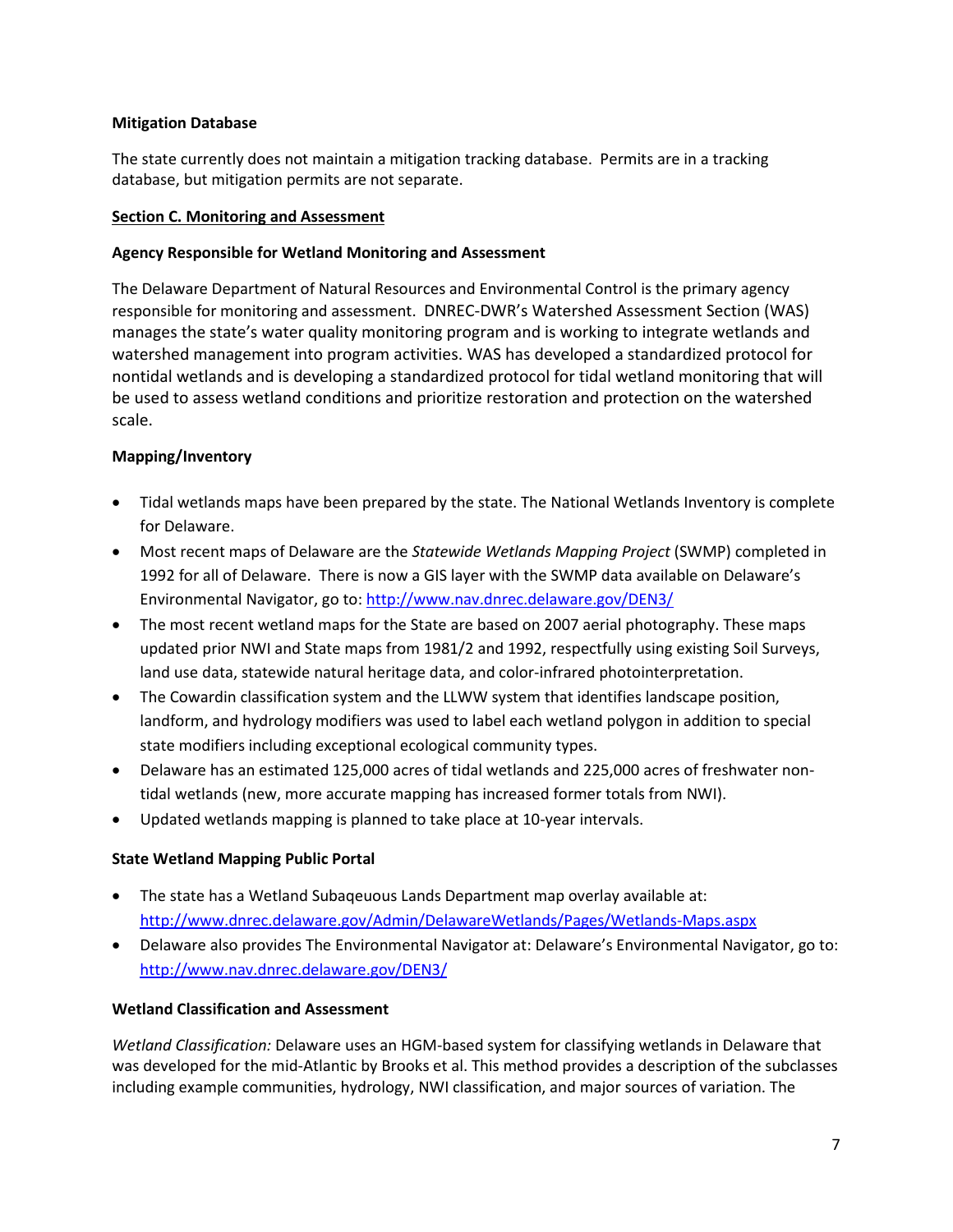# **Mitigation Database**

The state currently does not maintain a mitigation tracking database. Permits are in a tracking database, but mitigation permits are not separate.

## <span id="page-6-0"></span>**Section C. Monitoring and Assessment**

# **Agency Responsible for Wetland Monitoring and Assessment**

The Delaware Department of Natural Resources and Environmental Control is the primary agency responsible for monitoring and assessment. DNREC-DWR's Watershed Assessment Section (WAS) manages the state's water quality monitoring program and is working to integrate wetlands and watershed management into program activities. WAS has developed a standardized protocol for nontidal wetlands and is developing a standardized protocol for tidal wetland monitoring that will be used to assess wetland conditions and prioritize restoration and protection on the watershed scale.

# **Mapping/Inventory**

- Tidal wetlands maps have been prepared by the state. The National Wetlands Inventory is complete for Delaware.
- Most recent maps of Delaware are the *Statewide Wetlands Mapping Project* (SWMP) completed in 1992 for all of Delaware. There is now a GIS layer with the SWMP data available on Delaware's Environmental Navigator, go to:<http://www.nav.dnrec.delaware.gov/DEN3/>
- The most recent wetland maps for the State are based on 2007 aerial photography. These maps updated prior NWI and State maps from 1981/2 and 1992, respectfully using existing Soil Surveys, land use data, statewide natural heritage data, and color-infrared photointerpretation.
- The Cowardin classification system and the LLWW system that identifies landscape position, landform, and hydrology modifiers was used to label each wetland polygon in addition to special state modifiers including exceptional ecological community types.
- Delaware has an estimated 125,000 acres of tidal wetlands and 225,000 acres of freshwater nontidal wetlands (new, more accurate mapping has increased former totals from NWI).
- Updated wetlands mapping is planned to take place at 10-year intervals.

# **State Wetland Mapping Public Portal**

- The state has a Wetland Subaqeuous Lands Department map overlay available at: <http://www.dnrec.delaware.gov/Admin/DelawareWetlands/Pages/Wetlands-Maps.aspx>
- Delaware also provides The Environmental Navigator at: Delaware's Environmental Navigator, go to: <http://www.nav.dnrec.delaware.gov/DEN3/>

## **Wetland Classification and Assessment**

*Wetland Classification:* Delaware uses an HGM-based system for classifying wetlands in Delaware that was developed for the mid-Atlantic by Brooks et al. This method provides a description of the subclasses including example communities, hydrology, NWI classification, and major sources of variation. The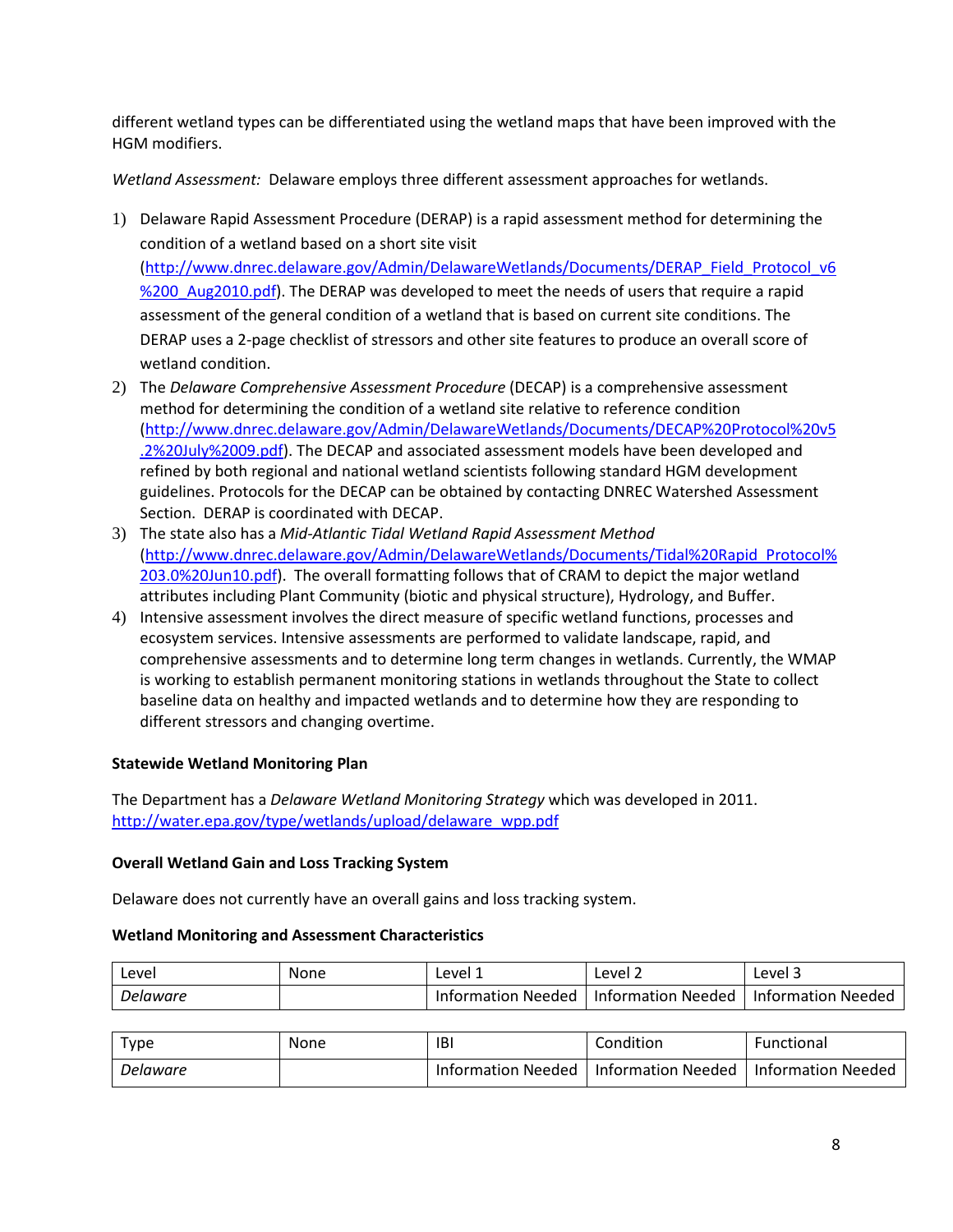different wetland types can be differentiated using the wetland maps that have been improved with the HGM modifiers.

*Wetland Assessment:*Delaware employs three different assessment approaches for wetlands.

- 1) Delaware Rapid Assessment Procedure (DERAP) is a rapid assessment method for determining the condition of a wetland based on a short site visit [\(http://www.dnrec.delaware.gov/Admin/DelawareWetlands/Documents/DERAP\\_Field\\_Protocol\\_v6](http://www.dnrec.delaware.gov/Admin/DelawareWetlands/Documents/DERAP_Field_Protocol_v6%200_Aug2010.pdf) %200 Aug2010.pdf). The DERAP was developed to meet the needs of users that require a rapid assessment of the general condition of a wetland that is based on current site conditions. The DERAP uses a 2-page checklist of stressors and other site features to produce an overall score of wetland condition.
- 2) The *Delaware Comprehensive Assessment Procedure* (DECAP) is a comprehensive assessment method for determining the condition of a wetland site relative to reference condition [\(http://www.dnrec.delaware.gov/Admin/DelawareWetlands/Documents/DECAP%20Protocol%20v5](http://www.dnrec.delaware.gov/Admin/DelawareWetlands/Documents/DECAP%20Protocol%20v5.2%20July%2009.pdf) [.2%20July%2009.pdf\)](http://www.dnrec.delaware.gov/Admin/DelawareWetlands/Documents/DECAP%20Protocol%20v5.2%20July%2009.pdf). The DECAP and associated assessment models have been developed and refined by both regional and national wetland scientists following standard HGM development guidelines. Protocols for the DECAP can be obtained by contacting DNREC Watershed Assessment Section. DERAP is coordinated with DECAP.
- 3) The state also has a *Mid-Atlantic Tidal Wetland Rapid Assessment Method* [\(http://www.dnrec.delaware.gov/Admin/DelawareWetlands/Documents/Tidal%20Rapid\\_Protocol%](http://www.dnrec.delaware.gov/Admin/DelawareWetlands/Documents/Tidal%20Rapid_Protocol%203.0%20Jun10.pdf) [203.0%20Jun10.pdf\)](http://www.dnrec.delaware.gov/Admin/DelawareWetlands/Documents/Tidal%20Rapid_Protocol%203.0%20Jun10.pdf). The overall formatting follows that of CRAM to depict the major wetland attributes including Plant Community (biotic and physical structure), Hydrology, and Buffer.
- 4) Intensive assessment involves the direct measure of specific wetland functions, processes and ecosystem services. Intensive assessments are performed to validate landscape, rapid, and comprehensive assessments and to determine long term changes in wetlands. Currently, the WMAP is working to establish permanent monitoring stations in wetlands throughout the State to collect baseline data on healthy and impacted wetlands and to determine how they are responding to different stressors and changing overtime.

# **Statewide Wetland Monitoring Plan**

The Department has a *Delaware Wetland Monitoring Strategy* which was developed in 2011. [http://water.epa.gov/type/wetlands/upload/delaware\\_wpp.pdf](http://water.epa.gov/type/wetlands/upload/delaware_wpp.pdf)

## **Overall Wetland Gain and Loss Tracking System**

Delaware does not currently have an overall gains and loss tracking system.

#### **Wetland Monitoring and Assessment Characteristics**

| Leve!    | None | Level 1            | Level 2            | Level 3            |
|----------|------|--------------------|--------------------|--------------------|
| Delaware |      | Information Needed | Information Needed | Information Needed |

| $\tau$ <sub>V</sub> pe | None | IBI                | Condition                 | <b>Functional</b>         |
|------------------------|------|--------------------|---------------------------|---------------------------|
| Delaware               |      | Information Needed | <b>Information Needed</b> | <b>Information Needed</b> |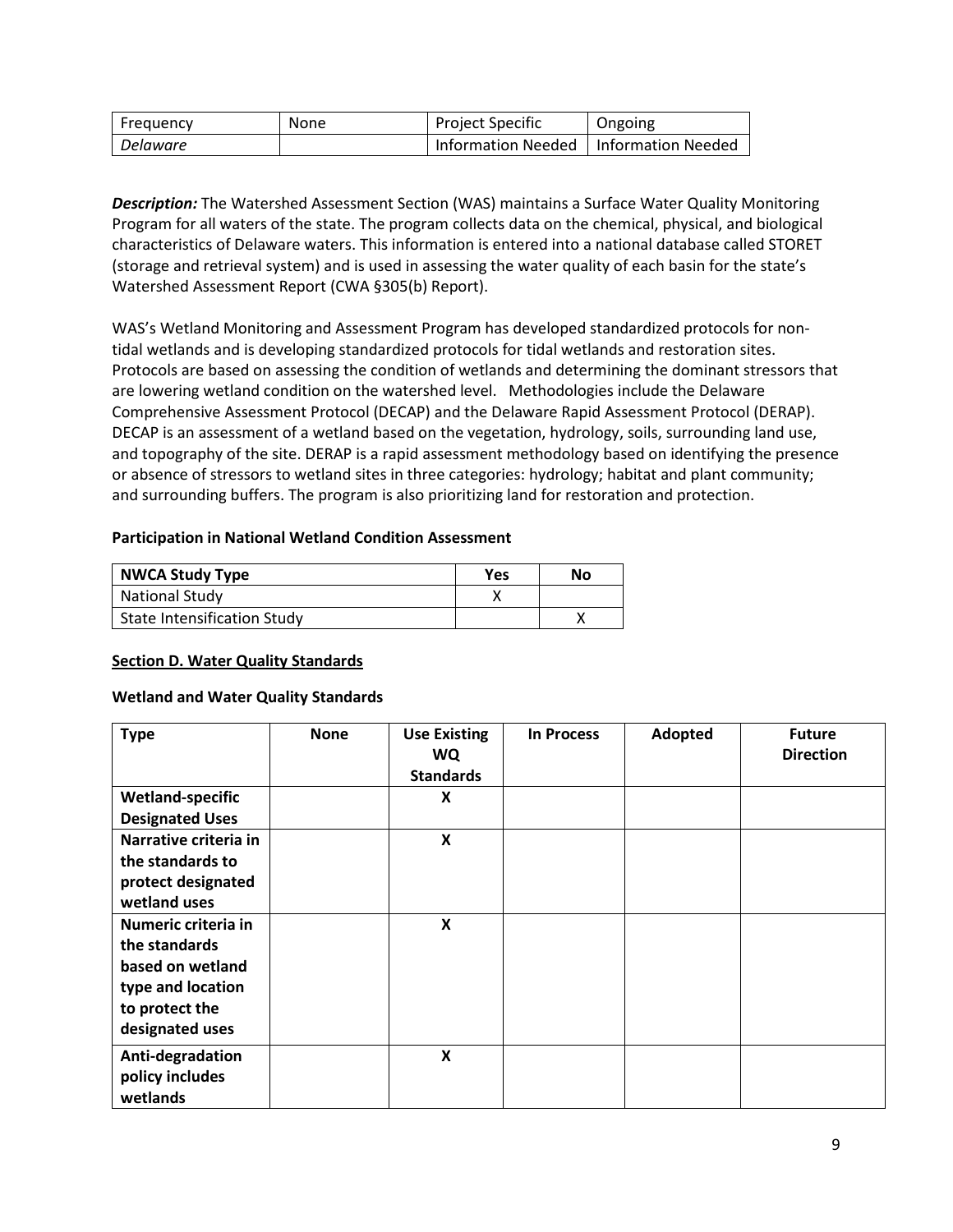| Freauency       | <b>None</b> | <b>Project Specific</b>                 | Ongoing |
|-----------------|-------------|-----------------------------------------|---------|
| <b>Delaware</b> |             | Information Needed   Information Needed |         |

*Description:* The Watershed Assessment Section (WAS) maintains a Surface Water Quality Monitoring Program for all waters of the state. The program collects data on the chemical, physical, and biological characteristics of Delaware waters. This information is entered into a national database called STORET (storage and retrieval system) and is used in assessing the water quality of each basin for the state's Watershed Assessment Report (CWA §305(b) Report).

WAS's Wetland Monitoring and Assessment Program has developed standardized protocols for nontidal wetlands and is developing standardized protocols for tidal wetlands and restoration sites. Protocols are based on assessing the condition of wetlands and determining the dominant stressors that are lowering wetland condition on the watershed level. Methodologies include the Delaware Comprehensive Assessment Protocol (DECAP) and the Delaware Rapid Assessment Protocol (DERAP). DECAP is an assessment of a wetland based on the vegetation, hydrology, soils, surrounding land use, and topography of the site. DERAP is a rapid assessment methodology based on identifying the presence or absence of stressors to wetland sites in three categories: hydrology; habitat and plant community; and surrounding buffers. The program is also prioritizing land for restoration and protection.

## **Participation in National Wetland Condition Assessment**

| <b>NWCA Study Type</b>             | Yes | Nο |
|------------------------------------|-----|----|
| <b>National Study</b>              |     |    |
| <b>State Intensification Study</b> |     |    |

## <span id="page-8-0"></span>**Section D. Water Quality Standards**

## **Wetland and Water Quality Standards**

| <b>Type</b>                                                                                                        | <b>None</b> | <b>Use Existing</b><br><b>WQ</b><br><b>Standards</b> | <b>In Process</b> | Adopted | <b>Future</b><br><b>Direction</b> |
|--------------------------------------------------------------------------------------------------------------------|-------------|------------------------------------------------------|-------------------|---------|-----------------------------------|
| <b>Wetland-specific</b><br><b>Designated Uses</b>                                                                  |             | X                                                    |                   |         |                                   |
| Narrative criteria in<br>the standards to<br>protect designated<br>wetland uses                                    |             | X                                                    |                   |         |                                   |
| Numeric criteria in<br>the standards<br>based on wetland<br>type and location<br>to protect the<br>designated uses |             | X                                                    |                   |         |                                   |
| Anti-degradation<br>policy includes<br>wetlands                                                                    |             | X                                                    |                   |         |                                   |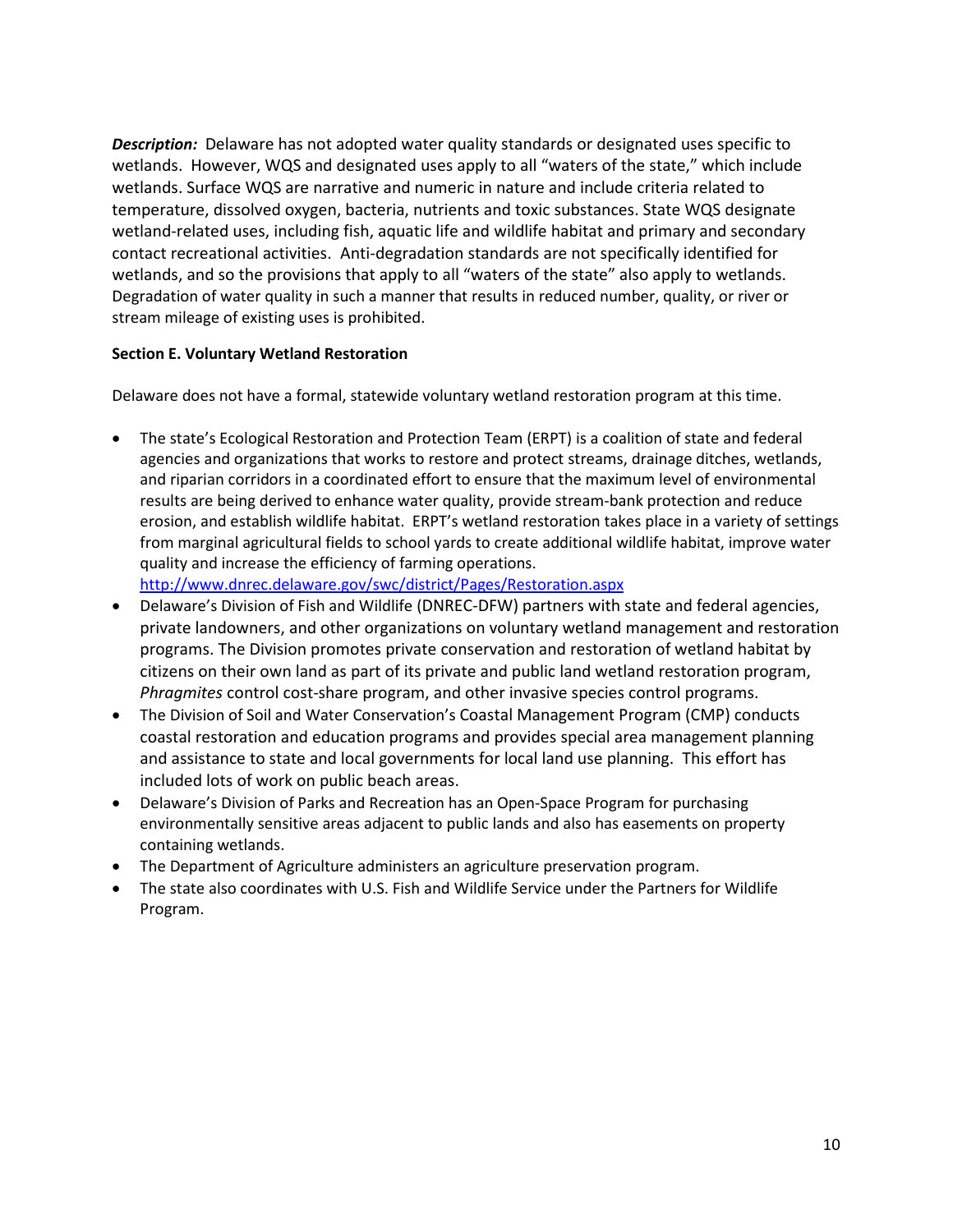*Description:* Delaware has not adopted water quality standards or designated uses specific to wetlands. However, WQS and designated uses apply to all "waters of the state," which include wetlands. Surface WQS are narrative and numeric in nature and include criteria related to temperature, dissolved oxygen, bacteria, nutrients and toxic substances. State WQS designate wetland-related uses, including fish, aquatic life and wildlife habitat and primary and secondary contact recreational activities. Anti-degradation standards are not specifically identified for wetlands, and so the provisions that apply to all "waters of the state" also apply to wetlands. Degradation of water quality in such a manner that results in reduced number, quality, or river or stream mileage of existing uses is prohibited.

## <span id="page-9-0"></span>**Section E. Voluntary Wetland Restoration**

Delaware does not have a formal, statewide voluntary wetland restoration program at this time.

• The state's Ecological Restoration and Protection Team (ERPT) is a coalition of state and federal agencies and organizations that works to restore and protect streams, drainage ditches, wetlands, and riparian corridors in a coordinated effort to ensure that the maximum level of environmental results are being derived to enhance water quality, provide stream-bank protection and reduce erosion, and establish wildlife habitat. ERPT's wetland restoration takes place in a variety of settings from marginal agricultural fields to school yards to create additional wildlife habitat, improve water quality and increase the efficiency of farming operations.

<http://www.dnrec.delaware.gov/swc/district/Pages/Restoration.aspx>

- Delaware's Division of Fish and Wildlife (DNREC-DFW) partners with state and federal agencies, private landowners, and other organizations on voluntary wetland management and restoration programs. The Division promotes private conservation and restoration of wetland habitat by citizens on their own land as part of its private and public land wetland restoration program, *Phragmites* control cost-share program, and other invasive species control programs.
- The Division of Soil and Water Conservation's Coastal Management Program (CMP) conducts coastal restoration and education programs and provides special area management planning and assistance to state and local governments for local land use planning. This effort has included lots of work on public beach areas.
- Delaware's Division of Parks and Recreation has an Open-Space Program for purchasing environmentally sensitive areas adjacent to public lands and also has easements on property containing wetlands.
- The Department of Agriculture administers an agriculture preservation program.
- The state also coordinates with U.S. Fish and Wildlife Service under the Partners for Wildlife Program.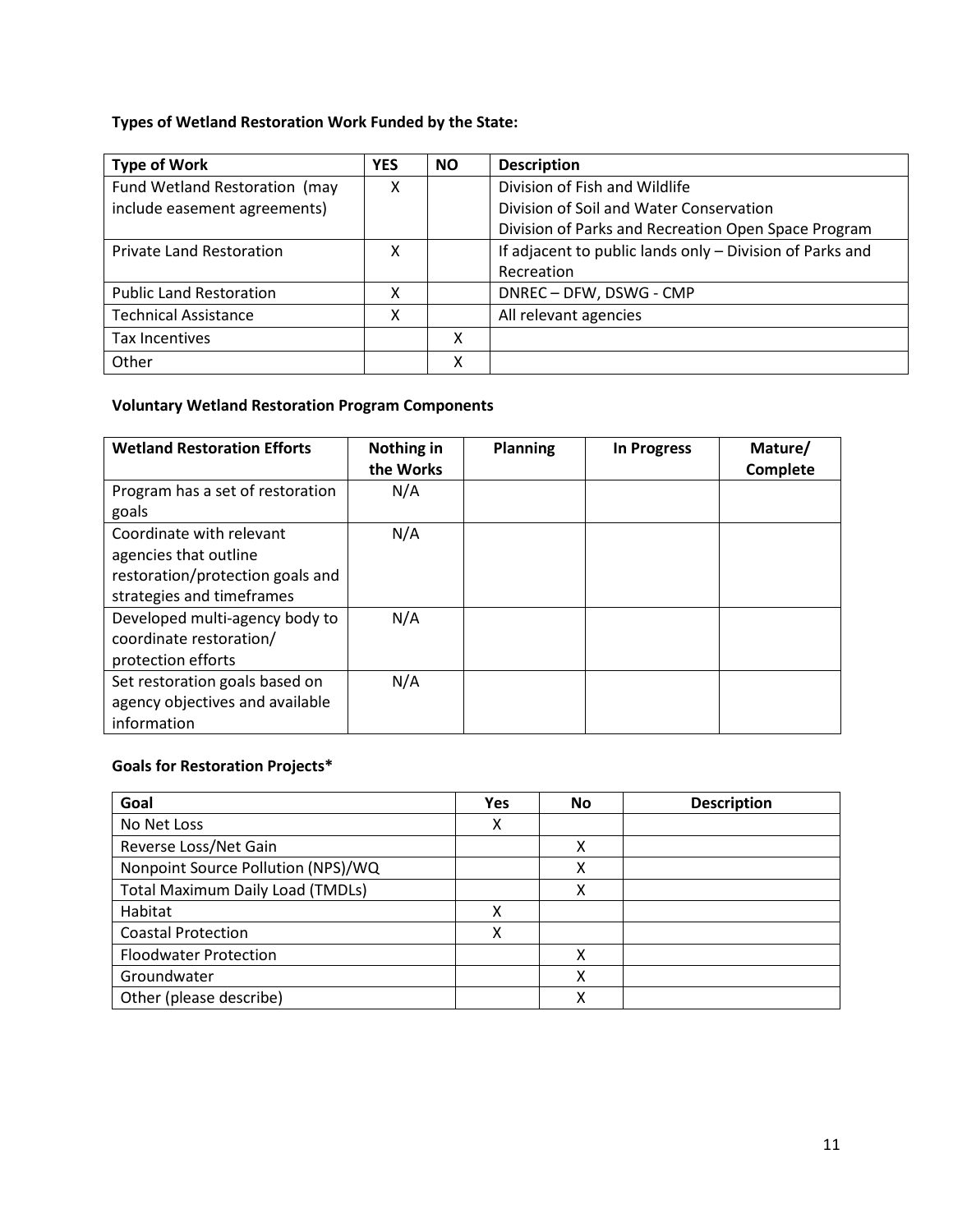# **Types of Wetland Restoration Work Funded by the State:**

| <b>Type of Work</b>             | <b>YES</b> | <b>NO</b> | <b>Description</b>                                       |
|---------------------------------|------------|-----------|----------------------------------------------------------|
| Fund Wetland Restoration (may   | x          |           | Division of Fish and Wildlife                            |
| include easement agreements)    |            |           | Division of Soil and Water Conservation                  |
|                                 |            |           | Division of Parks and Recreation Open Space Program      |
| <b>Private Land Restoration</b> | x          |           | If adjacent to public lands only - Division of Parks and |
|                                 |            |           | Recreation                                               |
| <b>Public Land Restoration</b>  | x          |           | DNREC - DFW, DSWG - CMP                                  |
| <b>Technical Assistance</b>     | x          |           | All relevant agencies                                    |
| Tax Incentives                  |            | χ         |                                                          |
| Other                           |            | Χ         |                                                          |

# **Voluntary Wetland Restoration Program Components**

| <b>Wetland Restoration Efforts</b>                                                                                 | Nothing in<br>the Works | <b>Planning</b> | <b>In Progress</b> | Mature/<br>Complete |
|--------------------------------------------------------------------------------------------------------------------|-------------------------|-----------------|--------------------|---------------------|
| Program has a set of restoration<br>goals                                                                          | N/A                     |                 |                    |                     |
| Coordinate with relevant<br>agencies that outline<br>restoration/protection goals and<br>strategies and timeframes | N/A                     |                 |                    |                     |
| Developed multi-agency body to<br>coordinate restoration/<br>protection efforts                                    | N/A                     |                 |                    |                     |
| Set restoration goals based on<br>agency objectives and available<br>information                                   | N/A                     |                 |                    |                     |

# **Goals for Restoration Projects\***

| Goal                                    | <b>Yes</b> | No | <b>Description</b> |
|-----------------------------------------|------------|----|--------------------|
| No Net Loss                             | x          |    |                    |
| Reverse Loss/Net Gain                   |            | x  |                    |
| Nonpoint Source Pollution (NPS)/WQ      |            | Χ  |                    |
| <b>Total Maximum Daily Load (TMDLs)</b> |            | x  |                    |
| Habitat                                 | χ          |    |                    |
| <b>Coastal Protection</b>               | χ          |    |                    |
| <b>Floodwater Protection</b>            |            | Χ  |                    |
| Groundwater                             |            | χ  |                    |
| Other (please describe)                 |            | x  |                    |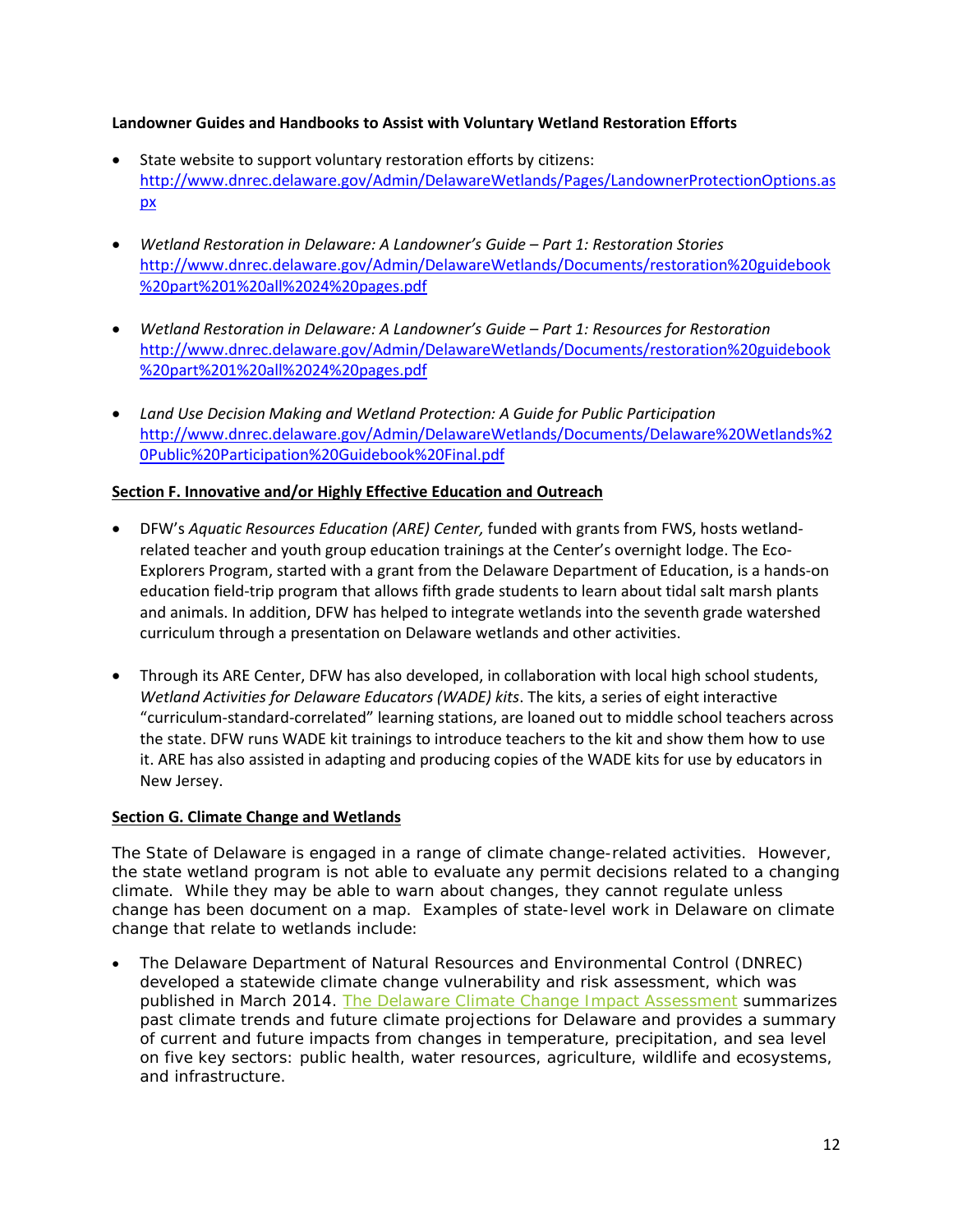## **Landowner Guides and Handbooks to Assist with Voluntary Wetland Restoration Efforts**

- State website to support voluntary restoration efforts by citizens: [http://www.dnrec.delaware.gov/Admin/DelawareWetlands/Pages/LandownerProtectionOptions.as](http://www.dnrec.delaware.gov/Admin/DelawareWetlands/Pages/LandownerProtectionOptions.aspx) [px](http://www.dnrec.delaware.gov/Admin/DelawareWetlands/Pages/LandownerProtectionOptions.aspx)
- *Wetland Restoration in Delaware: A Landowner's Guide – Part 1: Restoration Stories* [http://www.dnrec.delaware.gov/Admin/DelawareWetlands/Documents/restoration%20guidebook](http://www.dnrec.delaware.gov/Admin/DelawareWetlands/Documents/restoration%20guidebook%20part%201%20all%2024%20pages.pdf) [%20part%201%20all%2024%20pages.pdf](http://www.dnrec.delaware.gov/Admin/DelawareWetlands/Documents/restoration%20guidebook%20part%201%20all%2024%20pages.pdf)
- *Wetland Restoration in Delaware: A Landowner's Guide – Part 1: Resources for Restoration* [http://www.dnrec.delaware.gov/Admin/DelawareWetlands/Documents/restoration%20guidebook](http://www.dnrec.delaware.gov/Admin/DelawareWetlands/Documents/restoration%20guidebook%20part%201%20all%2024%20pages.pdf) [%20part%201%20all%2024%20pages.pdf](http://www.dnrec.delaware.gov/Admin/DelawareWetlands/Documents/restoration%20guidebook%20part%201%20all%2024%20pages.pdf)
- *Land Use Decision Making and Wetland Protection: A Guide for Public Participation* [http://www.dnrec.delaware.gov/Admin/DelawareWetlands/Documents/Delaware%20Wetlands%2](http://www.dnrec.delaware.gov/Admin/DelawareWetlands/Documents/Delaware%20Wetlands%20Public%20Participation%20Guidebook%20Final.pdf) [0Public%20Participation%20Guidebook%20Final.pdf](http://www.dnrec.delaware.gov/Admin/DelawareWetlands/Documents/Delaware%20Wetlands%20Public%20Participation%20Guidebook%20Final.pdf)

# <span id="page-11-0"></span>**Section F. Innovative and/or Highly Effective Education and Outreach**

- DFW's *Aquatic Resources Education (ARE) Center,* funded with grants from FWS, hosts wetlandrelated teacher and youth group education trainings at the Center's overnight lodge. The Eco-Explorers Program, started with a grant from the Delaware Department of Education, is a hands-on education field-trip program that allows fifth grade students to learn about tidal salt marsh plants and animals. In addition, DFW has helped to integrate wetlands into the seventh grade watershed curriculum through a presentation on Delaware wetlands and other activities.
- Through its ARE Center, DFW has also developed, in collaboration with local high school students, *Wetland Activities for Delaware Educators (WADE) kits*. The kits, a series of eight interactive "curriculum-standard-correlated" learning stations, are loaned out to middle school teachers across the state. DFW runs WADE kit trainings to introduce teachers to the kit and show them how to use it. ARE has also assisted in adapting and producing copies of the WADE kits for use by educators in New Jersey.

# **Section G. Climate Change and Wetlands**

The State of Delaware is engaged in a range of climate change-related activities. However, the state wetland program is not able to evaluate any permit decisions related to a changing climate. While they may be able to warn about changes, they cannot regulate unless change has been document on a map. Examples of state-level work in Delaware on climate change that relate to wetlands include:

• The Delaware Department of Natural Resources and Environmental Control (DNREC) developed a statewide climate change vulnerability and risk assessment, which was published in March 2014. [The Delaware Climate Change Impact Assessment](http://www.georgetownclimate.org/resources/delaware-climate-change-impact-assessment) summarizes past climate trends and future climate projections for Delaware and provides a summary of current and future impacts from changes in temperature, precipitation, and sea level on five key sectors: public health, water resources, agriculture, wildlife and ecosystems, and infrastructure.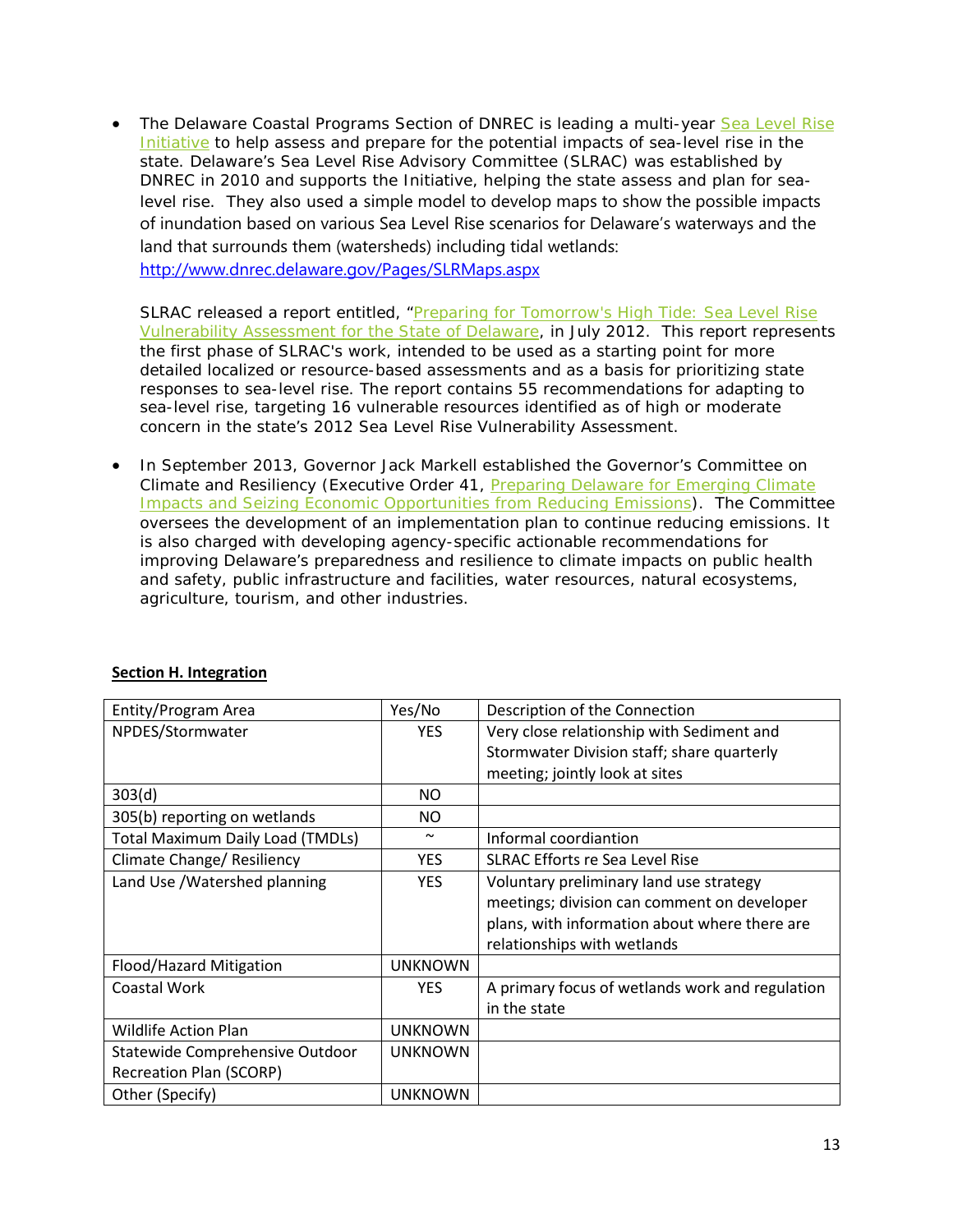• The Delaware Coastal Programs Section of DNREC is leading a multi-year Sea Level Rise [Initiative](http://www.georgetownclimate.org/resources/delaware-sea-level-rise-initiative) to help assess and prepare for the potential impacts of sea-level rise in the state. Delaware's Sea Level Rise Advisory Committee (SLRAC) was established by DNREC in 2010 and supports the Initiative, helping the state assess and plan for sealevel rise. They also used a simple model to develop maps to show the possible impacts of inundation based on various Sea Level Rise scenarios for Delaware's waterways and the land that surrounds them (watersheds) including tidal wetlands: <http://www.dnrec.delaware.gov/Pages/SLRMaps.aspx>

SLRAC released a report entitled, "Preparing for Tomorrow's High Tide: Sea Level Rise [Vulnerability Assessment for the State of Delaware,](http://www.georgetownclimate.org/resources/preparing-for-tomorrows-high-tide-sea-level-rise-vulnerability-assessment-for-the-state-of) in July 2012. This report represents the first phase of SLRAC's work, intended to be used as a starting point for more detailed localized or resource-based assessments and as a basis for prioritizing state responses to sea-level rise. The report contains 55 recommendations for adapting to sea-level rise, targeting 16 vulnerable resources identified as of high or moderate concern in the state's 2012 Sea Level Rise Vulnerability Assessment.

• In September 2013, Governor Jack Markell established the Governor's Committee on Climate and Resiliency (Executive Order 41, [Preparing Delaware for Emerging Climate](http://www.georgetownclimate.org/resources/de-eo-41-preparing-delaware-for-emerging-climate-impacts-and-seizing-economic-opportunitie)  [Impacts and Seizing Economic Opportunities from Reducing Emissions\)](http://www.georgetownclimate.org/resources/de-eo-41-preparing-delaware-for-emerging-climate-impacts-and-seizing-economic-opportunitie). The Committee oversees the development of an implementation plan to continue reducing emissions. It is also charged with developing agency-specific actionable recommendations for improving Delaware's preparedness and resilience to climate impacts on public health and safety, public infrastructure and facilities, water resources, natural ecosystems, agriculture, tourism, and other industries.

| Entity/Program Area                     | Yes/No                | Description of the Connection                   |
|-----------------------------------------|-----------------------|-------------------------------------------------|
| NPDES/Stormwater                        | <b>YES</b>            | Very close relationship with Sediment and       |
|                                         |                       | Stormwater Division staff; share quarterly      |
|                                         |                       | meeting; jointly look at sites                  |
| 303(d)                                  | <b>NO</b>             |                                                 |
| 305(b) reporting on wetlands            | NO.                   |                                                 |
| <b>Total Maximum Daily Load (TMDLs)</b> | $\tilde{\phantom{a}}$ | Informal coordiantion                           |
| Climate Change/ Resiliency              | <b>YES</b>            | SLRAC Efforts re Sea Level Rise                 |
| Land Use / Watershed planning           | <b>YES</b>            | Voluntary preliminary land use strategy         |
|                                         |                       | meetings; division can comment on developer     |
|                                         |                       | plans, with information about where there are   |
|                                         |                       | relationships with wetlands                     |
| Flood/Hazard Mitigation                 | <b>UNKNOWN</b>        |                                                 |
| Coastal Work                            | YES.                  | A primary focus of wetlands work and regulation |
|                                         |                       | in the state                                    |
| <b>Wildlife Action Plan</b>             | <b>UNKNOWN</b>        |                                                 |
| Statewide Comprehensive Outdoor         | <b>UNKNOWN</b>        |                                                 |
| <b>Recreation Plan (SCORP)</b>          |                       |                                                 |
| Other (Specify)                         | <b>UNKNOWN</b>        |                                                 |

# <span id="page-12-0"></span>**Section H. Integration**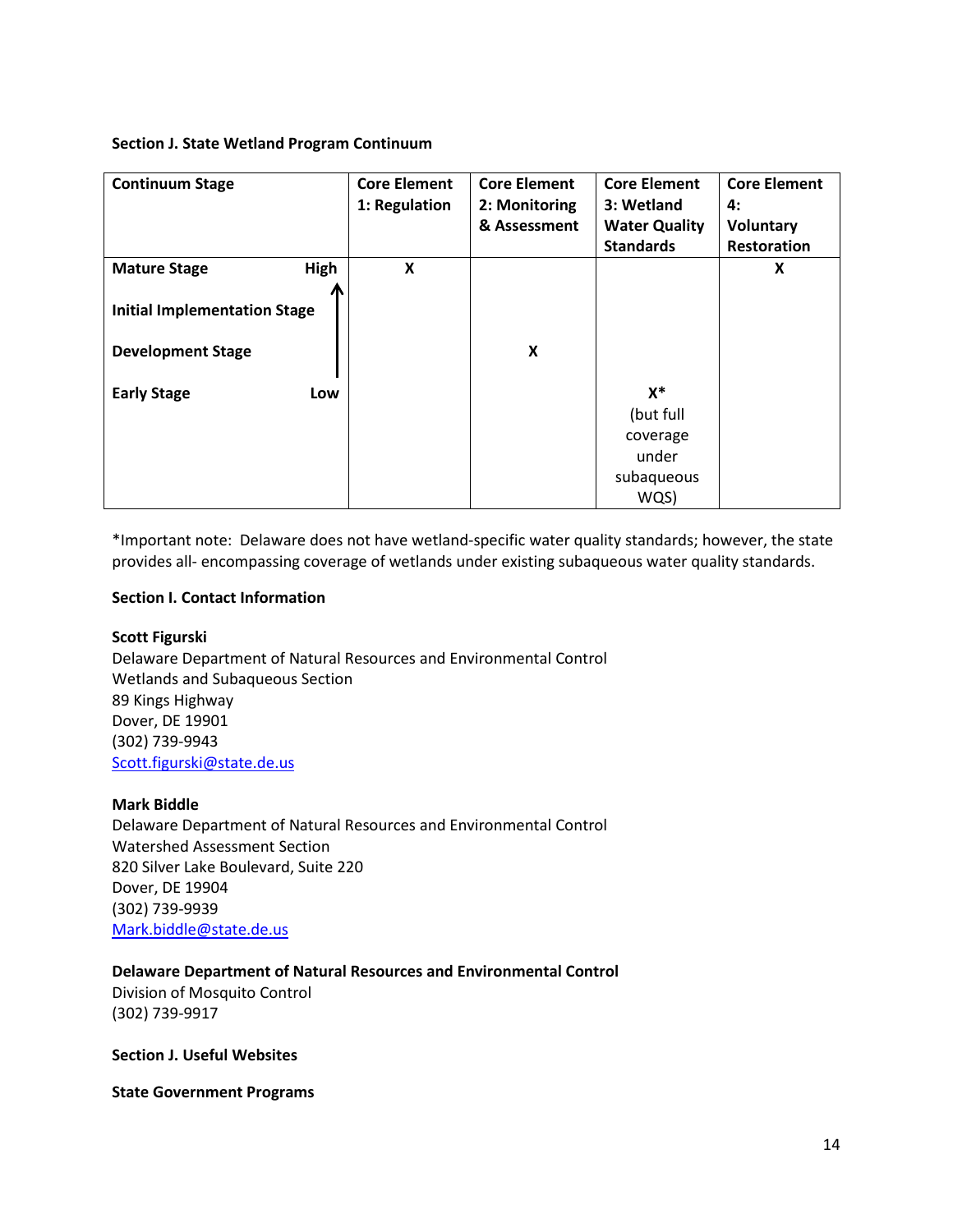#### **Section J. State Wetland Program Continuum**

| <b>Continuum Stage</b>              | <b>Core Element</b><br>1: Regulation | <b>Core Element</b><br>2: Monitoring<br>& Assessment | <b>Core Element</b><br>3: Wetland<br><b>Water Quality</b><br><b>Standards</b> | <b>Core Element</b><br>4:<br>Voluntary<br>Restoration |
|-------------------------------------|--------------------------------------|------------------------------------------------------|-------------------------------------------------------------------------------|-------------------------------------------------------|
| High<br><b>Mature Stage</b>         | X                                    |                                                      |                                                                               | X                                                     |
| <b>Initial Implementation Stage</b> |                                      |                                                      |                                                                               |                                                       |
| <b>Development Stage</b>            |                                      | X                                                    |                                                                               |                                                       |
| <b>Early Stage</b><br>Low           |                                      |                                                      | $X^*$<br>(but full<br>coverage<br>under<br>subaqueous<br>WQS)                 |                                                       |

\*Important note: Delaware does not have wetland-specific water quality standards; however, the state provides all- encompassing coverage of wetlands under existing subaqueous water quality standards.

#### **Section I. Contact Information**

## **Scott Figurski**

Delaware Department of Natural Resources and Environmental Control Wetlands and Subaqueous Section 89 Kings Highway Dover, DE 19901 (302) 739-9943 [Scott.figurski@state.de.us](mailto:Scott.figurski@state.de.us)

#### **Mark Biddle**

Delaware Department of Natural Resources and Environmental Control Watershed Assessment Section 820 Silver Lake Boulevard, Suite 220 Dover, DE 19904 (302) 739-9939 [Mark.biddle@state.de.us](mailto:Mark.biddle@state.de.us)

## **Delaware Department of Natural Resources and Environmental Control**

Division of Mosquito Control (302) 739-9917

**Section J. Useful Websites**

**State Government Programs**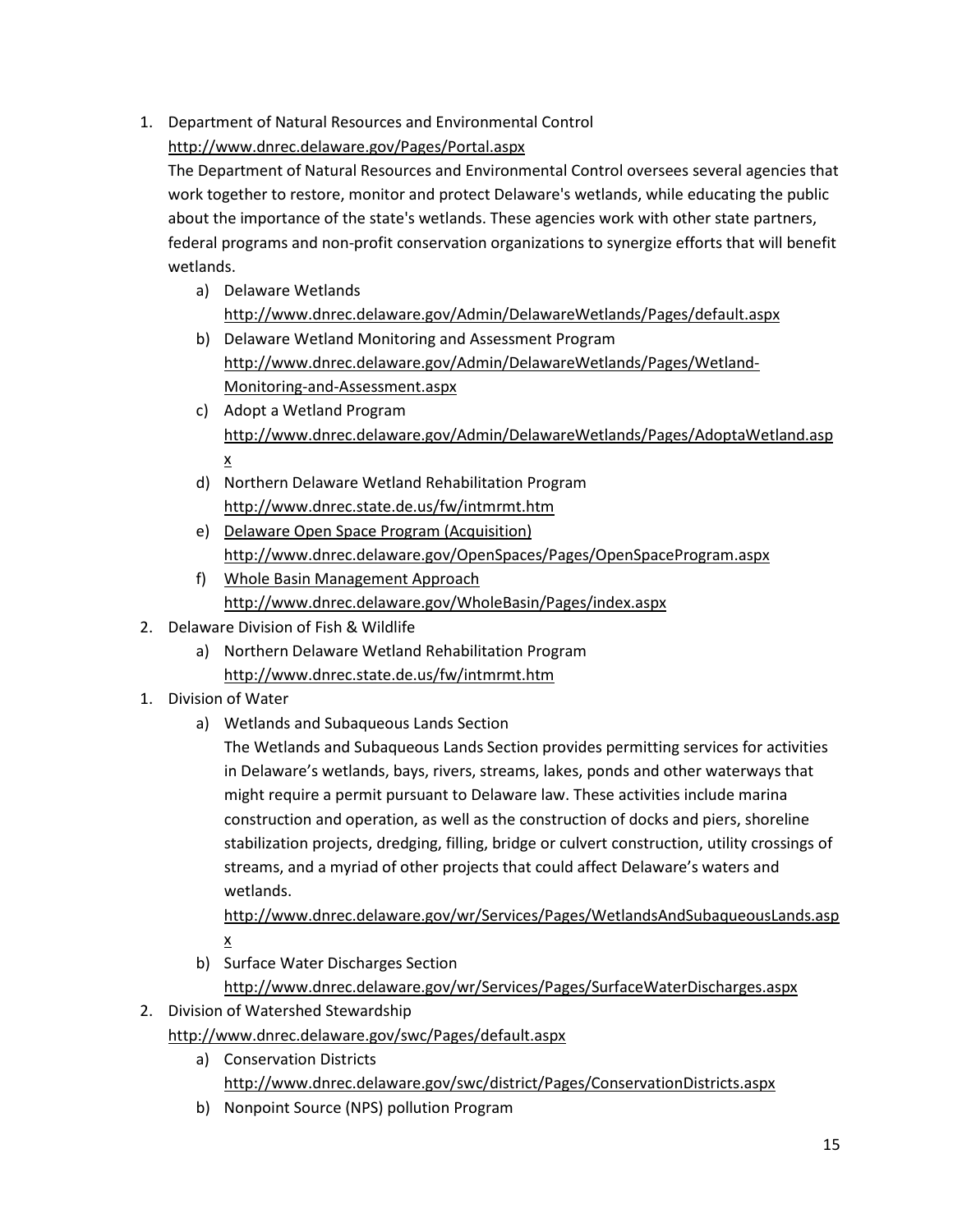1. Department of Natural Resources and Environmental Control

<http://www.dnrec.delaware.gov/Pages/Portal.aspx>

The Department of Natural Resources and Environmental Control oversees several agencies that work together to restore, monitor and protect Delaware's wetlands, while educating the public about the importance of the state's wetlands. These agencies work with other state partners, federal programs and non-profit conservation organizations to synergize efforts that will benefit wetlands.

- a) Delaware Wetlands <http://www.dnrec.delaware.gov/Admin/DelawareWetlands/Pages/default.aspx>
- b) Delaware Wetland Monitoring and Assessment Program [http://www.dnrec.delaware.gov/Admin/DelawareWetlands/Pages/Wetland-](http://www.dnrec.delaware.gov/Admin/DelawareWetlands/Pages/Wetland-Monitoring-and-Assessment.aspx)[Monitoring-and-Assessment.aspx](http://www.dnrec.delaware.gov/Admin/DelawareWetlands/Pages/Wetland-Monitoring-and-Assessment.aspx)
- c) Adopt a Wetland Program [http://www.dnrec.delaware.gov/Admin/DelawareWetlands/Pages/AdoptaWetland.asp](http://www.dnrec.delaware.gov/Admin/DelawareWetlands/Pages/AdoptaWetland.aspx) [x](http://www.dnrec.delaware.gov/Admin/DelawareWetlands/Pages/AdoptaWetland.aspx)
- d) Northern Delaware Wetland Rehabilitation Program <http://www.dnrec.state.de.us/fw/intmrmt.htm>
- e) Delaware Open Space Program (Acquisition) <http://www.dnrec.delaware.gov/OpenSpaces/Pages/OpenSpaceProgram.aspx>
- f) Whole Basin Management Approach <http://www.dnrec.delaware.gov/WholeBasin/Pages/index.aspx>
- 2. Delaware Division of Fish & Wildlife
	- a) Northern Delaware Wetland Rehabilitation Program <http://www.dnrec.state.de.us/fw/intmrmt.htm>
- 1. Division of Water
	- a) Wetlands and Subaqueous Lands Section

The Wetlands and Subaqueous Lands Section provides permitting services for activities in Delaware's wetlands, bays, rivers, streams, lakes, ponds and other waterways that might require a permit pursuant to Delaware law. These activities include marina construction and operation, as well as the construction of docks and piers, shoreline stabilization projects, dredging, filling, bridge or culvert construction, utility crossings of streams, and a myriad of other projects that could affect Delaware's waters and wetlands.

[http://www.dnrec.delaware.gov/wr/Services/Pages/WetlandsAndSubaqueousLands.asp](http://www.dnrec.delaware.gov/wr/Services/Pages/WetlandsAndSubaqueousLands.aspx) [x](http://www.dnrec.delaware.gov/wr/Services/Pages/WetlandsAndSubaqueousLands.aspx)

b) Surface Water Discharges Section

<http://www.dnrec.delaware.gov/wr/Services/Pages/SurfaceWaterDischarges.aspx>

2. Division of Watershed Stewardship

<http://www.dnrec.delaware.gov/swc/Pages/default.aspx>

- a) Conservation Districts <http://www.dnrec.delaware.gov/swc/district/Pages/ConservationDistricts.aspx>
- b) Nonpoint Source (NPS) pollution Program